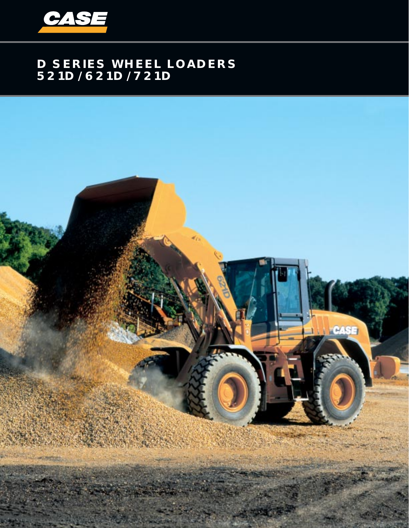

## **D SERIES WHEEL LOADERS 521D / 621D / 721D**

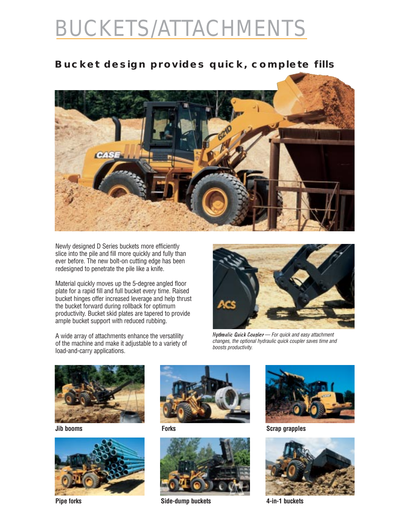# BUCKETS/ATTACHMENTS

### **Bucket design provides quick, complete fills**



Newly designed D Series buckets more efficiently slice into the pile and fill more quickly and fully than ever before. The new bolt-on cutting edge has been redesigned to penetrate the pile like a knife.

Material quickly moves up the 5-degree angled floor plate for a rapid fill and full bucket every time. Raised bucket hinges offer increased leverage and help thrust the bucket forward during rollback for optimum productivity. Bucket skid plates are tapered to provide ample bucket support with reduced rubbing.

A wide array of attachments enhance the versatility of the machine and make it adjustable to a variety of load-and-carry applications.



Hydraulic Quick Coupler — For quick and easy attachment changes, the optional hydraulic quick coupler saves time and boosts productivity.









**Pipe forks Side-dump buckets 4-in-1 buckets**



**Jib booms Forks Scrap grapples**

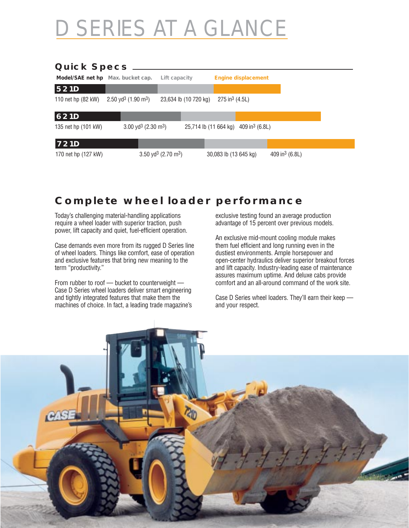# D SERIES AT A GLANCE

### **Quick Specs**

| Model/SAE net hp Max. bucket cap. |                                             | Lift capacity                               | <b>Engine displacement</b>                            |                            |
|-----------------------------------|---------------------------------------------|---------------------------------------------|-------------------------------------------------------|----------------------------|
| <b>521D</b>                       |                                             |                                             |                                                       |                            |
| 110 net hp (82 kW)                | 2.50 yd <sup>3</sup> (1.90 m <sup>3</sup> ) | 23,634 lb (10 720 kg)                       | $275$ in <sup>3</sup> (4.5L)                          |                            |
| <b>621D</b>                       |                                             |                                             |                                                       |                            |
| 135 net hp (101 kW)               | 3.00 yd <sup>3</sup> (2.30 m <sup>3</sup> ) |                                             | 25,714 lb (11 664 kg)<br>$409$ in <sup>3</sup> (6.8L) |                            |
| <b>721D</b>                       |                                             |                                             |                                                       |                            |
| 170 net hp (127 kW)               |                                             | 3.50 yd <sup>3</sup> (2.70 m <sup>3</sup> ) | 30,083 lb (13 645 kg)                                 | 409 in <sup>3</sup> (6.8L) |

## **Complete wheel loader performance**

Today's challenging material-handling applications require a wheel loader with superior traction, push power, lift capacity and quiet, fuel-efficient operation.

Case demands even more from its rugged D Series line of wheel loaders. Things like comfort, ease of operation and exclusive features that bring new meaning to the term "productivity."

From rubber to roof — bucket to counterweight — Case D Series wheel loaders deliver smart engineering and tightly integrated features that make them the machines of choice. In fact, a leading trade magazine's exclusive testing found an average production advantage of 15 percent over previous models.

An exclusive mid-mount cooling module makes them fuel efficient and long running even in the dustiest environments. Ample horsepower and open-center hydraulics deliver superior breakout forces and lift capacity. Industry-leading ease of maintenance assures maximum uptime. And deluxe cabs provide comfort and an all-around command of the work site.

Case D Series wheel loaders. They'll earn their keep and your respect.

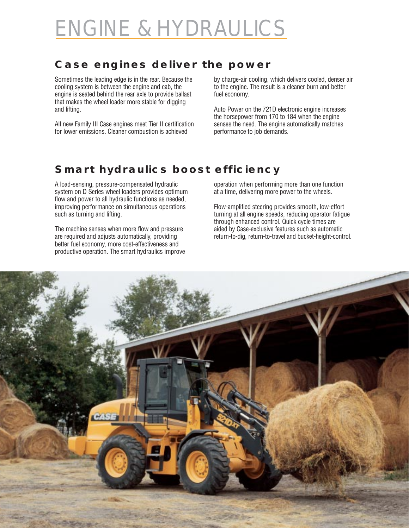# ENGINE & HYDRAULICS

### **Case engines deliver the power**

Sometimes the leading edge is in the rear. Because the cooling system is between the engine and cab, the engine is seated behind the rear axle to provide ballast that makes the wheel loader more stable for digging and lifting.

All new Family III Case engines meet Tier II certification for lower emissions. Cleaner combustion is achieved

by charge-air cooling, which delivers cooled, denser air to the engine. The result is a cleaner burn and better fuel economy.

Auto Power on the 721D electronic engine increases the horsepower from 170 to 184 when the engine senses the need. The engine automatically matches performance to job demands.

## **Smart hydraulics boost efficiency**

A load-sensing, pressure-compensated hydraulic system on D Series wheel loaders provides optimum flow and power to all hydraulic functions as needed, improving performance on simultaneous operations such as turning and lifting.

The machine senses when more flow and pressure are required and adjusts automatically, providing better fuel economy, more cost-effectiveness and productive operation. The smart hydraulics improve operation when performing more than one function at a time, delivering more power to the wheels.

Flow-amplified steering provides smooth, low-effort turning at all engine speeds, reducing operator fatigue through enhanced control. Quick cycle times are aided by Case-exclusive features such as automatic return-to-dig, return-to-travel and bucket-height-control.

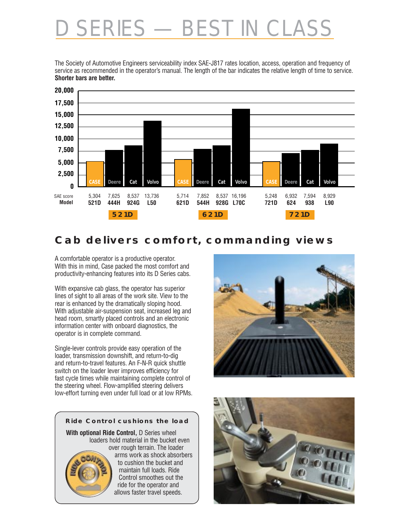# D SERIES — BEST IN CLASS

The Society of Automotive Engineers serviceability index SAE-J817 rates location, access, operation and frequency of service as recommended in the operator's manual. The length of the bar indicates the relative length of time to service. **Shorter bars are better.**



## **Cab delivers comfort, commanding views**

A comfortable operator is a productive operator. With this in mind, Case packed the most comfort and productivity-enhancing features into its D Series cabs.

With expansive cab glass, the operator has superior lines of sight to all areas of the work site. View to the rear is enhanced by the dramatically sloping hood. With adjustable air-suspension seat, increased leg and head room, smartly placed controls and an electronic information center with onboard diagnostics, the operator is in complete command.

Single-lever controls provide easy operation of the loader, transmission downshift, and return-to-dig and return-to-travel features. An F-N-R quick shuttle switch on the loader lever improves efficiency for fast cycle times while maintaining complete control of the steering wheel. Flow-amplified steering delivers low-effort turning even under full load or at low RPMs.

![](_page_4_Picture_7.jpeg)

![](_page_4_Picture_8.jpeg)

![](_page_4_Picture_9.jpeg)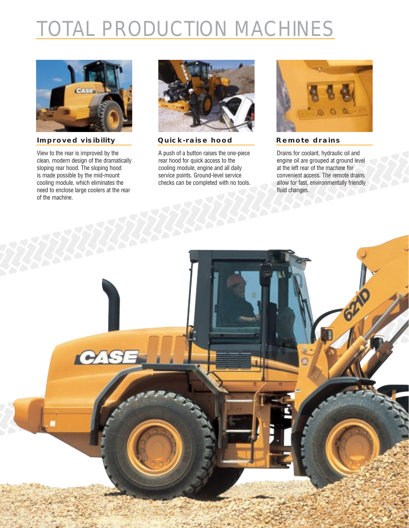## TOTAL PRODUCTION MACHINES

![](_page_5_Picture_1.jpeg)

**Improved visibility**

View to the rear is improved by the clean, modern design of the dramatically sloping rear hood. The sloping hood is made possible by the mid-mount cooling module, which eliminates the need to enclose large coolers at the rear of the machine.

![](_page_5_Picture_4.jpeg)

#### **Quick-raise hood**

A push of a button raises the one-piece rear hood for quick access to the cooling module, engine and all daily service points. Ground-level service checks can be completed with no tools.

![](_page_5_Picture_7.jpeg)

#### **Remote drains**

Drains for coolant, hydraulic oil and engine oil are grouped at ground level at the left rear of the machine for convenient access. The remote drains allow for fast, environmentally friendly **KANGES CAN** 

![](_page_5_Picture_10.jpeg)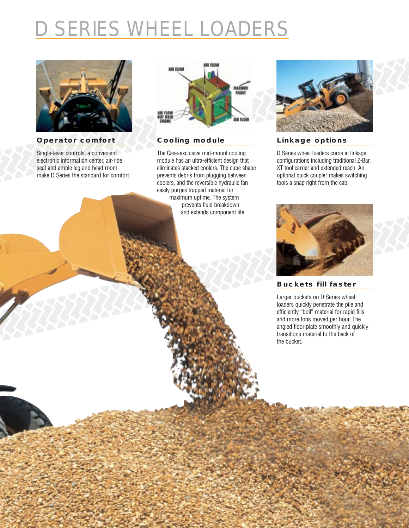## D SERIES WHEEL LOADERS

![](_page_6_Picture_1.jpeg)

#### **Operator comfort**

Single-lever controls, a convenient electronic information center, air-ride seat and ample leg and head room make D Series the standard for comfort.

![](_page_6_Picture_4.jpeg)

#### **Cooling module**

The Case-exclusive mid-mount cooling module has an ultra-efficient design that eliminates stacked coolers. The cube shape prevents debris from plugging between coolers, and the reversible hydraulic fan easily purges trapped material for maximum uptime. The system prevents fluid breakdown and extends component life.

![](_page_6_Picture_7.jpeg)

#### **Linkage options**

D Series wheel loaders come in linkage configurations including traditional Z-Bar, XT tool carrier and extended reach. An optional quick coupler makes switching tools a snap right from the cab.

![](_page_6_Picture_10.jpeg)

#### **Buckets fill faster**

Larger buckets on D Series wheel loaders quickly penetrate the pile and efficiently "boil" material for rapid fills and more tons moved per hour. The angled floor plate smoothly and quickly transitions material to the back of the bucket.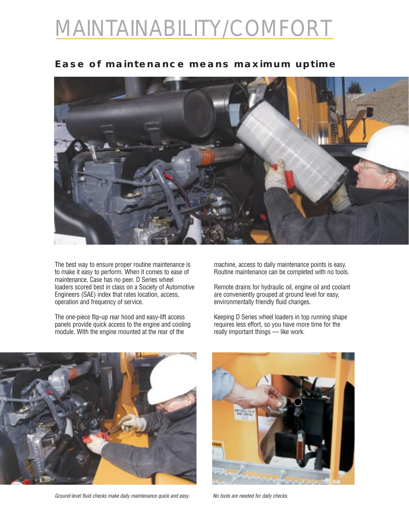## MAINTAINABILITY/COMFORT

### **Ease of maintenance means maximum uptime**

![](_page_7_Picture_2.jpeg)

The best way to ensure proper routine maintenance is to make it easy to perform. When it comes to ease of maintenance, Case has no peer. D Series wheel loaders scored best in class on a Society of Automotive Engineers (SAE) index that rates location, access, operation and frequency of service.

The one-piece flip-up rear hood and easy-lift access panels provide quick access to the engine and cooling module. With the engine mounted at the rear of the

machine, access to daily maintenance points is easy. Routine maintenance can be completed with no tools.

Remote drains for hydraulic oil, engine oil and coolant are conveniently grouped at ground level for easy, environmentally friendly fluid changes.

Keeping D Series wheel loaders in top running shape requires less effort, so you have more time for the really important things — like work.

![](_page_7_Picture_8.jpeg)

Ground-level fluid checks make daily maintenance quick and easy. No tools are needed for daily checks.

![](_page_7_Picture_10.jpeg)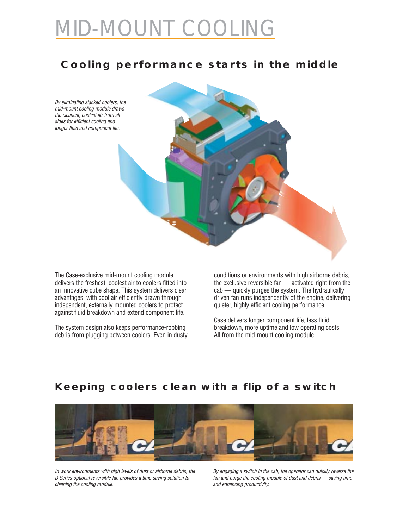## MID-MOUNT COOLING

### **Cooling performance starts in the middle**

By eliminating stacked coolers, the mid-mount cooling module draws the cleanest, coolest air from all sides for efficient cooling and longer fluid and component life.

The Case-exclusive mid-mount cooling module delivers the freshest, coolest air to coolers fitted into an innovative cube shape. This system delivers clear advantages, with cool air efficiently drawn through independent, externally mounted coolers to protect against fluid breakdown and extend component life.

The system design also keeps performance-robbing debris from plugging between coolers. Even in dusty conditions or environments with high airborne debris, the exclusive reversible fan — activated right from the cab — quickly purges the system. The hydraulically driven fan runs independently of the engine, delivering quieter, highly efficient cooling performance.

Case delivers longer component life, less fluid breakdown, more uptime and low operating costs. All from the mid-mount cooling module.

### **Keeping coolers clean with a flip of a switch**

![](_page_8_Picture_8.jpeg)

In work environments with high levels of dust or airborne debris, the D Series optional reversible fan provides a time-saving solution to cleaning the cooling module.

By engaging a switch in the cab, the operator can quickly reverse the fan and purge the cooling module of dust and debris — saving time and enhancing productivity.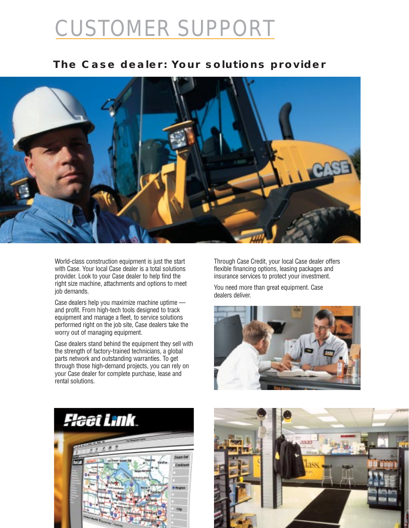# CUSTOMER SUPPORT

### **The Case dealer: Your solutions provider**

![](_page_9_Picture_2.jpeg)

World-class construction equipment is just the start with Case. Your local Case dealer is a total solutions provider. Look to your Case dealer to help find the right size machine, attachments and options to meet job demands.

Case dealers help you maximize machine uptime and profit. From high-tech tools designed to track equipment and manage a fleet, to service solutions performed right on the job site, Case dealers take the worry out of managing equipment.

Case dealers stand behind the equipment they sell with the strength of factory-trained technicians, a global parts network and outstanding warranties. To get through those high-demand projects, you can rely on your Case dealer for complete purchase, lease and rental solutions.

![](_page_9_Picture_6.jpeg)

Through Case Credit, your local Case dealer offers flexible financing options, leasing packages and insurance services to protect your investment.

You need more than great equipment. Case dealers deliver.

![](_page_9_Picture_9.jpeg)

![](_page_9_Picture_10.jpeg)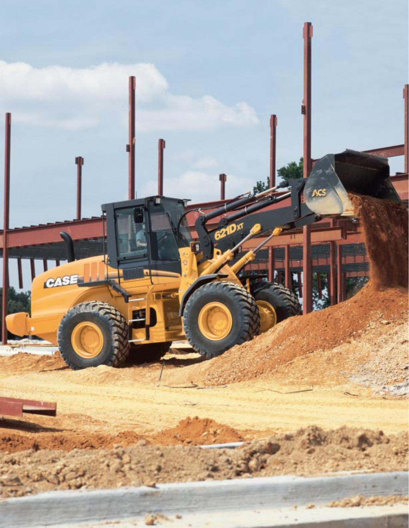![](_page_10_Picture_0.jpeg)